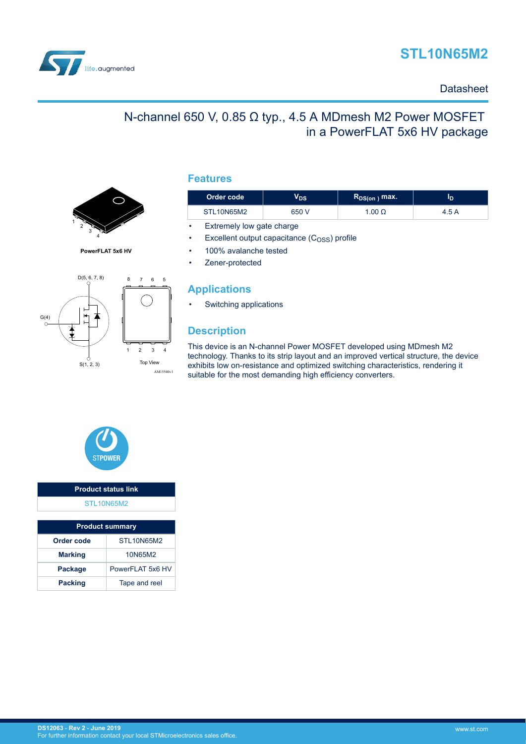



### **Datasheet**

# N-channel 650 V, 0.85 Ω typ., 4.5 A MDmesh M2 Power MOSFET in a PowerFLAT 5x6 HV package



**PowerFLAT 5x6 HV**



### **Features**

| Order code | /ds   | $R_{DS(on)}$ max. | סי    |
|------------|-------|-------------------|-------|
| STL10N65M2 | 650 V | .00 $\Omega$      | 4.5 A |

• Extremely low gate charge

Excellent output capacitance  $(C<sub>OSS</sub>)$  profile

• 100% avalanche tested

Zener-protected

### **Applications**

• Switching applications

## **Description**

This device is an N-channel Power MOSFET developed using MDmesh M2 technology. Thanks to its strip layout and an improved vertical structure, the device exhibits low on-resistance and optimized switching characteristics, rendering it suitable for the most demanding high efficiency converters.



| <b>Product status link</b> |  |
|----------------------------|--|
| STL <sub>10N65M2</sub>     |  |
|                            |  |

| <b>Product summary</b> |                   |  |  |
|------------------------|-------------------|--|--|
| Order code             | STL10N65M2        |  |  |
| <b>Marking</b>         | 10N65M2           |  |  |
| Package                | PowerFI AT 5x6 HV |  |  |
| <b>Packing</b>         | Tape and reel     |  |  |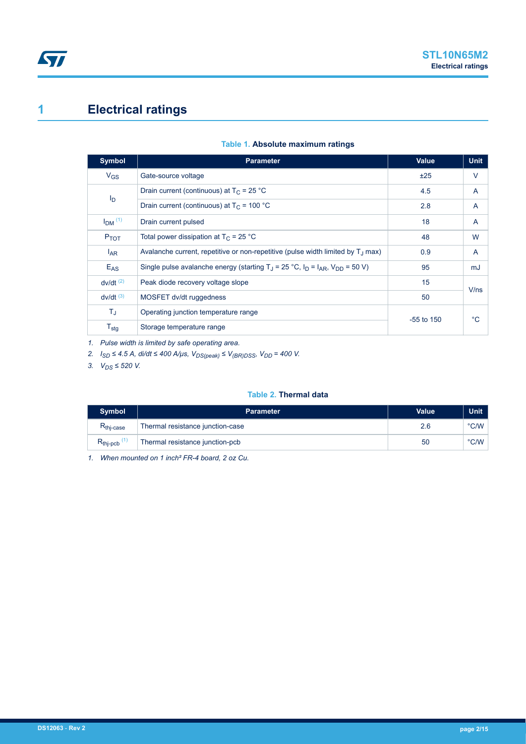# <span id="page-1-0"></span>**1 Electrical ratings**

| <b>Symbol</b>          | <b>Parameter</b>                                                                                   | Value        | <b>Unit</b> |
|------------------------|----------------------------------------------------------------------------------------------------|--------------|-------------|
| $V_{GS}$               | Gate-source voltage                                                                                | ±25          | $\vee$      |
| I <sub>D</sub>         | Drain current (continuous) at $T_C = 25 °C$                                                        | 4.5          | A           |
|                        | Drain current (continuous) at $T_C = 100 °C$                                                       | 2.8          | A           |
| $IDM$ <sup>(1)</sup>   | Drain current pulsed                                                                               | 18           | A           |
| $P_{TOT}$              | Total power dissipation at $T_C = 25 °C$                                                           | 48           | W           |
| $I_{AR}$               | Avalanche current, repetitive or non-repetitive (pulse width limited by $T_{\perp}$ max)           | 0.9          | A           |
| $E_{AS}$               | Single pulse avalanche energy (starting T <sub>.1</sub> = 25 °C, $I_D = I_{AR}$ , $V_{DD} = 50$ V) | 95           | mJ          |
| $dv/dt$ <sup>(2)</sup> | Peak diode recovery voltage slope                                                                  | 15           | V/ns        |
| $dv/dt$ <sup>(3)</sup> | MOSFET dv/dt ruggedness                                                                            | 50           |             |
| $T_{\rm J}$            | Operating junction temperature range                                                               | $-55$ to 150 | °C          |
| $T_{\text{stg}}$       | Storage temperature range                                                                          |              |             |

#### **Table 1. Absolute maximum ratings**

*1. Pulse width is limited by safe operating area.*

*2. ISD ≤ 4.5 A, di/dt ≤ 400 A/μs, VDS(peak) ≤ V(BR)DSS, VDD = 400 V.*

*3. VDS ≤ 520 V.*

### **Table 2. Thermal data**

| <b>Symbol</b>         | <b>Parameter</b>                 | <b>Value</b> | <b>Unit</b>   |
|-----------------------|----------------------------------|--------------|---------------|
| $R_{\text{thi-case}}$ | Thermal resistance junction-case |              | $\degree$ C/W |
| $R_{\text{thip}}$     | Thermal resistance junction-pcb  | 50           | $\degree$ C/W |

*1. When mounted on 1 inch² FR-4 board, 2 oz Cu.*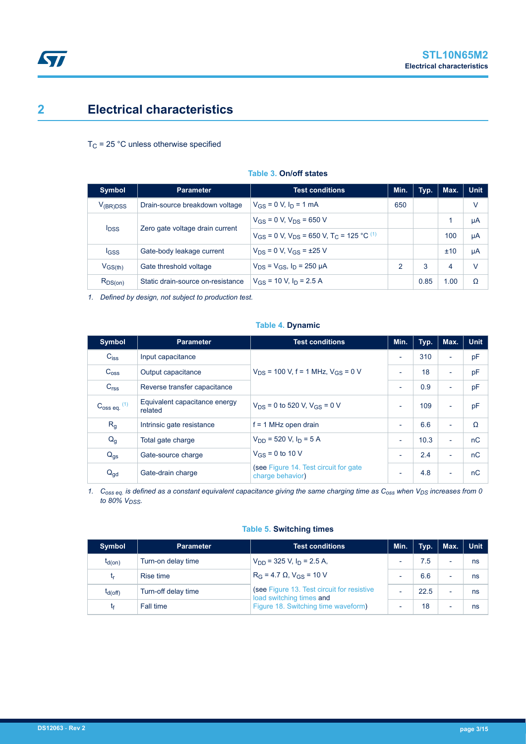# <span id="page-2-0"></span>**2 Electrical characteristics**

### $T_C$  = 25 °C unless otherwise specified

| <b>Symbol</b>           | <b>Parameter</b>                  | <b>Test conditions</b>                                                   | Min. | Typ. | Max. | <b>Unit</b> |
|-------------------------|-----------------------------------|--------------------------------------------------------------------------|------|------|------|-------------|
| $V_{(BR)DSS}$           | Drain-source breakdown voltage    | $V_{GS} = 0$ V, $I_D = 1$ mA                                             | 650  |      |      | V           |
|                         |                                   | $V_{GS}$ = 0 V, $V_{DS}$ = 650 V                                         |      |      |      | μA          |
| <b>I</b> <sub>DSS</sub> | Zero gate voltage drain current   | $V_{GS}$ = 0 V, $V_{DS}$ = 650 V, T <sub>C</sub> = 125 °C <sup>(1)</sup> |      |      | 100  | μA          |
| <b>IGSS</b>             | Gate-body leakage current         | $V_{DS} = 0 V$ , $V_{GS} = \pm 25 V$                                     |      |      | ±10  | μA          |
| $V_{GS(th)}$            | Gate threshold voltage            | $V_{DS} = V_{GS}$ , $I_D = 250 \mu A$                                    | 2    | 3    | 4    | v           |
| $R_{DS(on)}$            | Static drain-source on-resistance | $V_{GS}$ = 10 V, $I_D$ = 2.5 A                                           |      | 0.85 | 1.00 | Ω           |

#### **Table 3. On/off states**

*1. Defined by design, not subject to production test.*

### **Table 4. Dynamic**

| <b>Symbol</b>              | <b>Test conditions</b><br><b>Parameter</b>                                        |                      | Min.                     | Typ. | Max.                     | <b>Unit</b> |
|----------------------------|-----------------------------------------------------------------------------------|----------------------|--------------------------|------|--------------------------|-------------|
| $C_{\text{iss}}$           | Input capacitance                                                                 |                      | $\overline{\phantom{a}}$ | 310  | $\overline{\phantom{a}}$ | pF          |
| C <sub>oss</sub>           | $V_{DS}$ = 100 V, f = 1 MHz, $V_{GS}$ = 0 V<br>Output capacitance                 |                      | $\blacksquare$           | 18   | ٠                        | pF          |
| C <sub>rss</sub>           | Reverse transfer capacitance                                                      |                      | $\overline{\phantom{a}}$ | 0.9  | ٠                        | рF          |
| $C_{\rm OSS}$ eq. $^{(1)}$ | Equivalent capacitance energy<br>$V_{DS}$ = 0 to 520 V, $V_{GS}$ = 0 V<br>related |                      | $\overline{\phantom{a}}$ | 109  | $\overline{\phantom{0}}$ | pF          |
| R <sub>g</sub>             | Intrinsic gate resistance<br>$f = 1$ MHz open drain                               |                      | ٠                        | 6.6  | $\overline{\phantom{0}}$ | Ω           |
| $Q_g$                      | $V_{DD}$ = 520 V, $I_D$ = 5 A<br>Total gate charge                                |                      | ٠                        | 10.3 | $\overline{\phantom{a}}$ | nC          |
| $Q_{gs}$                   | Gate-source charge                                                                | $V_{GS}$ = 0 to 10 V | $\overline{\phantom{a}}$ | 2.4  | $\overline{\phantom{0}}$ | nC          |
| $Q_{\text{gd}}$            | (see Figure 14. Test circuit for gate)<br>Gate-drain charge<br>charge behavior)   |                      | ٠                        | 4.8  | $\overline{\phantom{a}}$ | nC          |

*1. Coss eq. is defined as a constant equivalent capacitance giving the same charging time as Coss when VDS increases from 0 to 80% VDSS.*

### **Table 5. Switching times**

| <b>Symbol</b> | <b>Parameter</b>    | <b>Test conditions</b>                                                 | Min.                     | Typ. | Max.                     | <b>Unit</b> |
|---------------|---------------------|------------------------------------------------------------------------|--------------------------|------|--------------------------|-------------|
| $t_{d(on)}$   | Turn-on delay time  | $V_{DD}$ = 325 V, $I_D$ = 2.5 A,                                       | $\overline{\phantom{0}}$ | 7.5  | $\overline{\phantom{0}}$ | ns          |
| <b>ւ</b> ր    | <b>Rise time</b>    | $R_G = 4.7 \Omega$ , $V_{GS} = 10 V$                                   | $\overline{\phantom{0}}$ | 6.6  | $\overline{\phantom{0}}$ | ns          |
| $t_{d(Off)}$  | Turn-off delay time | (see Figure 13. Test circuit for resistive<br>load switching times and | -                        | 22.5 |                          | ns          |
| t۴            | Fall time           | Figure 18. Switching time waveform)                                    | $\overline{\phantom{0}}$ | 18   |                          | ns          |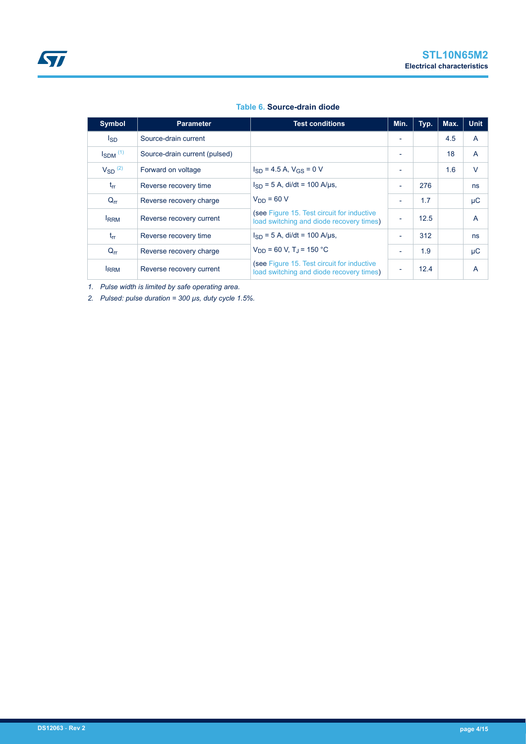#### **Table 6. Source-drain diode**

| Symbol                   | <b>Test conditions</b><br><b>Parameter</b>             |                                                                                        | Min.                     | Typ. | Max. | <b>Unit</b> |
|--------------------------|--------------------------------------------------------|----------------------------------------------------------------------------------------|--------------------------|------|------|-------------|
| l <sub>SD</sub>          | Source-drain current                                   |                                                                                        |                          |      | 4.5  | A           |
| $I_{SDM}$ <sup>(1)</sup> | Source-drain current (pulsed)                          |                                                                                        | $\overline{\phantom{a}}$ |      | 18   | A           |
| $V_{SD}$ <sup>(2)</sup>  | $I_{SD}$ = 4.5 A, $V_{GS}$ = 0 V<br>Forward on voltage |                                                                                        | $\overline{\phantom{0}}$ |      | 1.6  | $\vee$      |
| $t_{rr}$                 | Reverse recovery time                                  | $I_{SD} = 5$ A, di/dt = 100 A/us,                                                      | $\overline{\phantom{a}}$ | 276  |      | ns          |
| $Q_{rr}$                 | Reverse recovery charge                                | $V_{DD} = 60 V$                                                                        | $\overline{\phantom{a}}$ | 1.7  |      | μC          |
| <b>IRRM</b>              | Reverse recovery current                               | (see Figure 15. Test circuit for inductive<br>load switching and diode recovery times) | $\overline{\phantom{a}}$ | 12.5 |      | A           |
| $t_{rr}$                 | Reverse recovery time                                  | $I_{SD} = 5$ A, di/dt = 100 A/µs,                                                      | $\overline{\phantom{a}}$ | 312  |      | ns          |
| $Q_{rr}$                 | Reverse recovery charge                                | $V_{DD}$ = 60 V, T <sub>J</sub> = 150 °C                                               | $\overline{\phantom{a}}$ | 1.9  |      | μC          |
| <b>IRRM</b>              | Reverse recovery current                               | (see Figure 15. Test circuit for inductive<br>load switching and diode recovery times) | $\overline{\phantom{a}}$ | 12.4 |      | A           |

*1. Pulse width is limited by safe operating area.*

*2. Pulsed: pulse duration = 300 µs, duty cycle 1.5%.*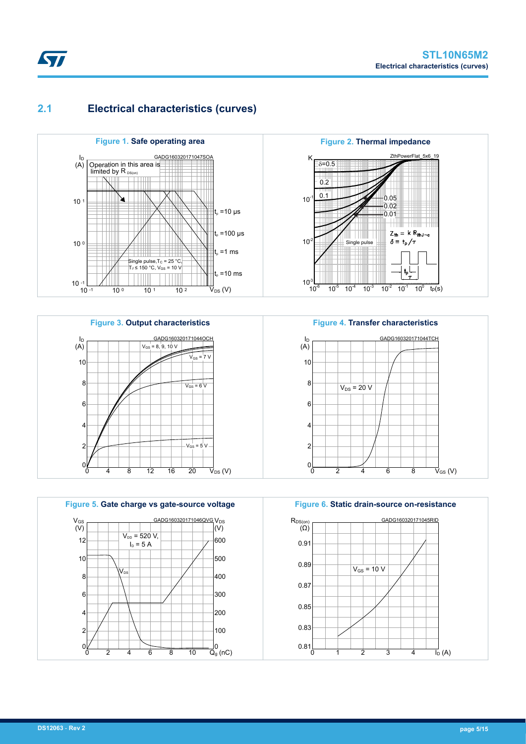## <span id="page-4-0"></span>**2.1 Electrical characteristics (curves)**









**Figure 4. Transfer characteristics**



**Figure 6. Static drain-source on-resistance**

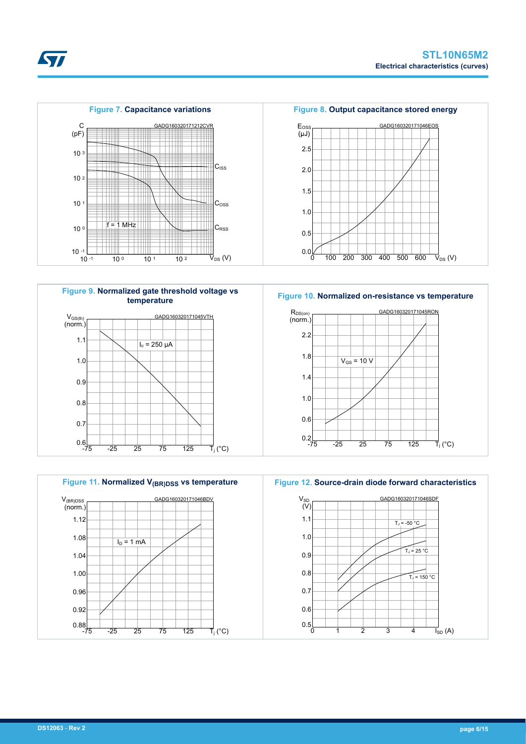



GADG160320171045VTH

0.8 0.7  $0.6$  -75  $-25$   $25$   $75$   $125$  $\overline{\mathsf{T}}_{\mathsf{i}}$  (°C)

**Figure 7. Capacitance variations**

 $10^{\circ}$  10 1 10 2

**Figure 9. Normalized gate threshold voltage vs temperature**

<sup>C</sup>RSS f = 1 MHz

GADG160320171212CVR

 $\vec{V}_{DS}$  (V)

 $\overrightarrow{T}_j$  (°C)

 $|C_{\text{ISS}}|$ 

 $C<sub>oss</sub>$ 

**Figure 11. Normalized V(BR)DSS vs temperature** GADG160320171046BDV 1.12 1.08 1.04 1.00 0.96 0.92 V(BR)DSS (norm.)  $I_D = 1$  mA

0.88 -75 -25 25 75 125



**Figure 10. Normalized on-resistance vs temperature**



**Figure 12. Source-drain diode forward characteristics**



**Kyr** 

10 <sup>3</sup>

C (pF)

10 <sup>2</sup>

10 <sup>1</sup>

10 <sup>0</sup>

 $10^{-1}$   $-1$ <br> $10^{-1}$ 

1.1

 $V_{GS(th)}$ (norm.)

1.0

0.9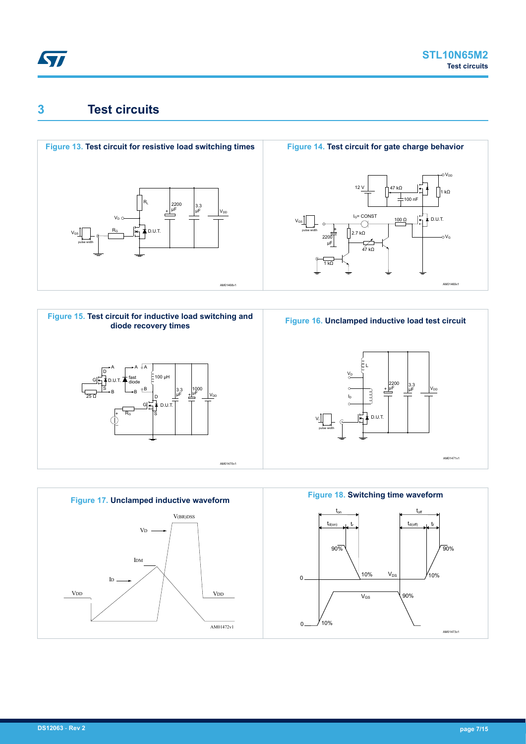<span id="page-6-0"></span>

# **3 Test circuits**











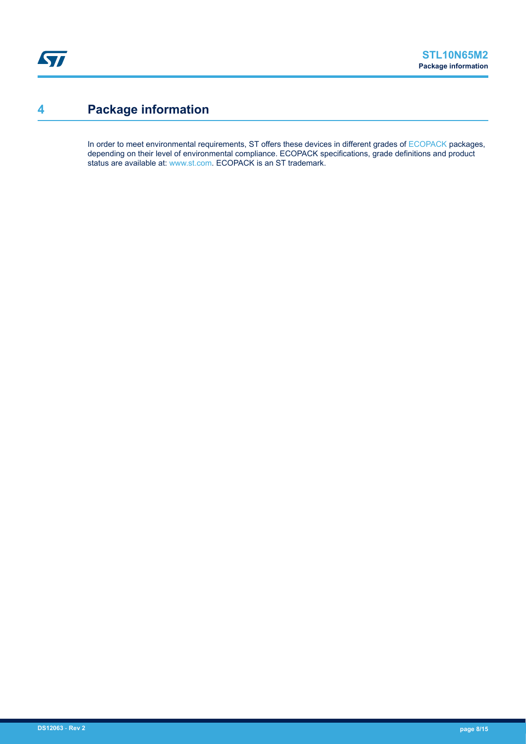# <span id="page-7-0"></span>**4 Package information**

In order to meet environmental requirements, ST offers these devices in different grades of [ECOPACK](https://www.st.com/ecopack) packages, depending on their level of environmental compliance. ECOPACK specifications, grade definitions and product status are available at: [www.st.com.](http://www.st.com) ECOPACK is an ST trademark.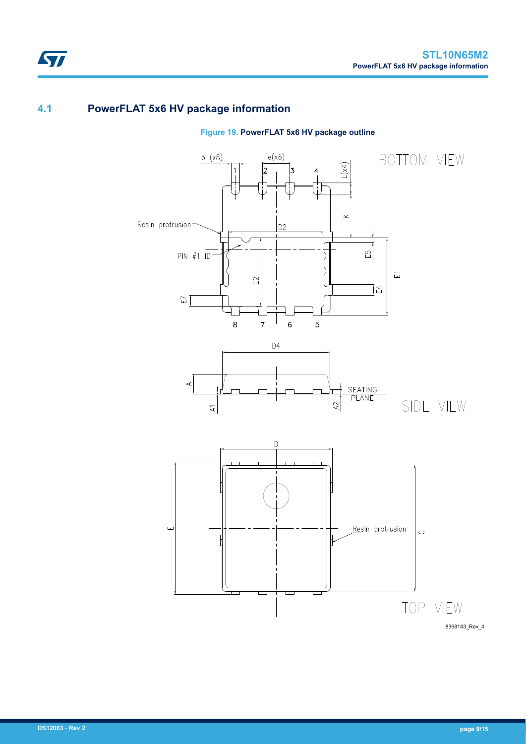## **4.1 PowerFLAT 5x6 HV package information**

ST



**Figure 19. PowerFLAT 5x6 HV package outline**

8368143\_Rev\_4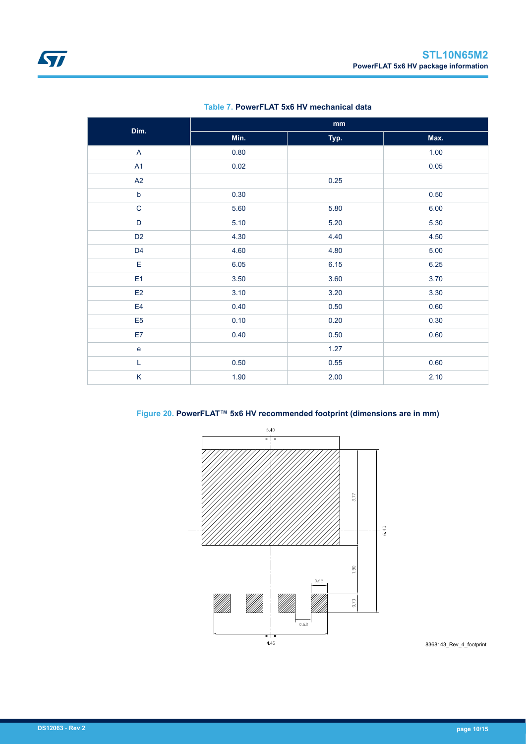<span id="page-9-0"></span>

| Dim.           | $\mathop{\text{mm}}\nolimits$ |      |      |  |  |
|----------------|-------------------------------|------|------|--|--|
|                | Min.                          | Typ. | Max. |  |  |
| $\mathsf{A}$   | 0.80                          |      | 1.00 |  |  |
| A1             | 0.02                          |      | 0.05 |  |  |
| A2             |                               | 0.25 |      |  |  |
| $\mathsf b$    | 0.30                          |      | 0.50 |  |  |
| $\mathsf C$    | 5.60                          | 5.80 | 6.00 |  |  |
| $\mathsf D$    | 5.10                          | 5.20 | 5.30 |  |  |
| D <sub>2</sub> | 4.30                          | 4.40 | 4.50 |  |  |
| D <sub>4</sub> | 4.60                          | 4.80 | 5.00 |  |  |
| E              | 6.05                          | 6.15 | 6.25 |  |  |
| E <sub>1</sub> | 3.50                          | 3.60 | 3.70 |  |  |
| E2             | 3.10                          | 3.20 | 3.30 |  |  |
| E4             | 0.40                          | 0.50 | 0.60 |  |  |
| E <sub>5</sub> | 0.10                          | 0.20 | 0.30 |  |  |
| E7             | 0.40                          | 0.50 | 0.60 |  |  |
| $\mathbf e$    |                               | 1.27 |      |  |  |
| L              | $0.50\,$                      | 0.55 | 0.60 |  |  |
| K              | 1.90                          | 2.00 | 2.10 |  |  |

**Table 7. PowerFLAT 5x6 HV mechanical data**



### **Figure 20. PowerFLAT™ 5x6 HV recommended footprint (dimensions are in mm)**

8368143\_Rev\_4\_footprint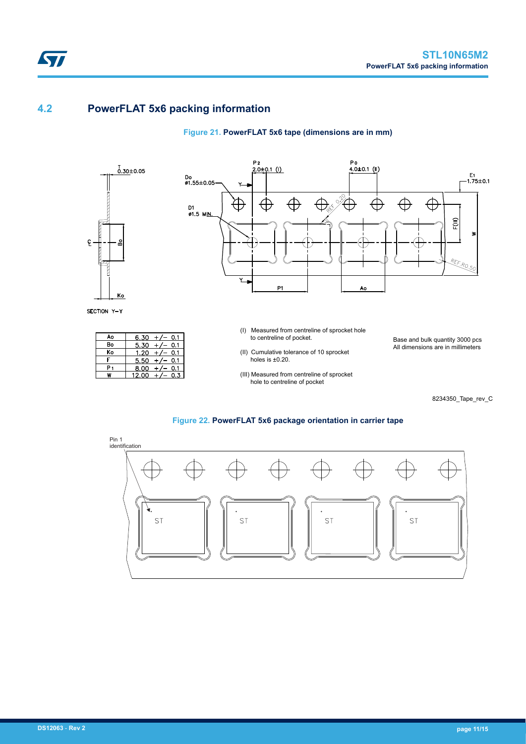## **4.2 PowerFLAT 5x6 packing information**

### **Figure 21. PowerFLAT 5x6 tape (dimensions are in mm)**



ST

SECTION Y-Y

| Ao | 6.30<br>0.1  |
|----|--------------|
| Bo | 5.30<br>0.1  |
| Ko | 1.20<br>0.1  |
|    | 5.50<br>0.1  |
|    | 8.00<br>0.1  |
|    | 12.00<br>0.3 |



- (I) Measured from centreline of sprocket hole to centreline of pocket.
- (II) Cumulative tolerance of 10 sprocket holes is ±0.20.
- (III) Measured from centreline of sprocket hole to centreline of pocket

Base and bulk quantity 3000 pcs All dimensions are in millimeters

8234350\_Tape\_rev\_C

#### **Figure 22. PowerFLAT 5x6 package orientation in carrier tape**

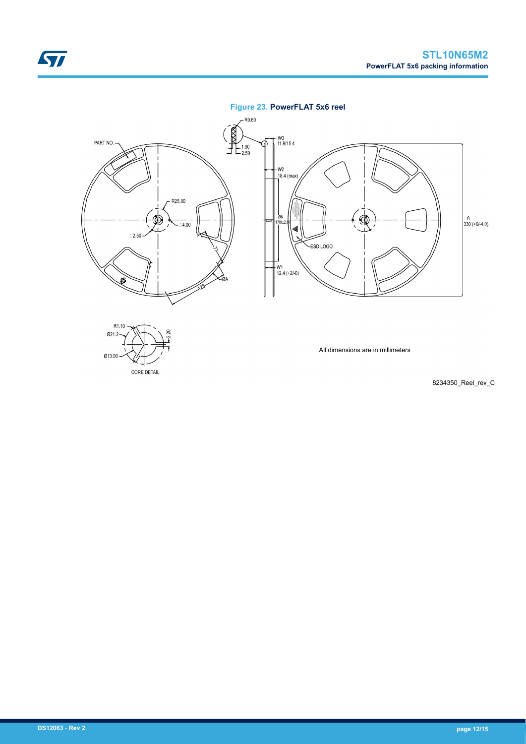### **Figure 23. PowerFLAT 5x6 reel**



8234350\_Reel\_rev\_C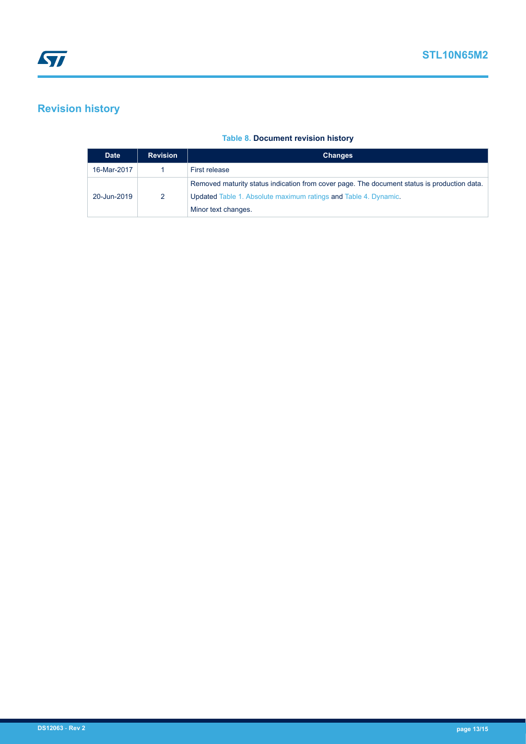# <span id="page-12-0"></span>**Revision history**

### **Table 8. Document revision history**

| <b>Date</b> | <b>Revision</b> | <b>Changes</b>                                                                                                                                                                        |
|-------------|-----------------|---------------------------------------------------------------------------------------------------------------------------------------------------------------------------------------|
| 16-Mar-2017 |                 | First release                                                                                                                                                                         |
| 20-Jun-2019 | 2               | Removed maturity status indication from cover page. The document status is production data.<br>Updated Table 1. Absolute maximum ratings and Table 4. Dynamic.<br>Minor text changes. |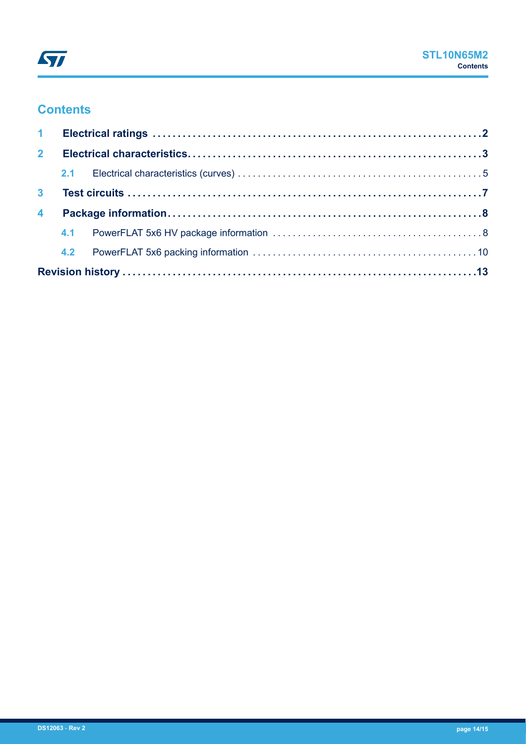# **Contents**

| 2 <sup>1</sup>          |  |  |  |
|-------------------------|--|--|--|
|                         |  |  |  |
| 3 <sup>1</sup>          |  |  |  |
| $\overline{\mathbf{4}}$ |  |  |  |
|                         |  |  |  |
|                         |  |  |  |
|                         |  |  |  |